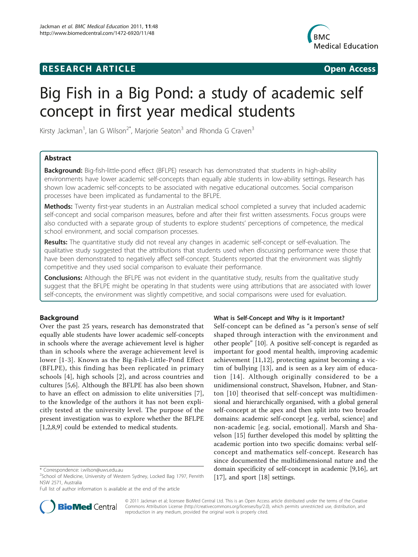## **RESEARCH ARTICLE Example 2018 Open Access**



# Big Fish in a Big Pond: a study of academic self concept in first year medical students

Kirsty Jackman<sup>1</sup>, Ian G Wilson<sup>2\*</sup>, Marjorie Seaton<sup>3</sup> and Rhonda G Craven<sup>3</sup>

## Abstract

**Background:** Big-fish-little-pond effect (BFLPE) research has demonstrated that students in high-ability environments have lower academic self-concepts than equally able students in low-ability settings. Research has shown low academic self-concepts to be associated with negative educational outcomes. Social comparison processes have been implicated as fundamental to the BFLPE.

Methods: Twenty first-year students in an Australian medical school completed a survey that included academic self-concept and social comparison measures, before and after their first written assessments. Focus groups were also conducted with a separate group of students to explore students' perceptions of competence, the medical school environment, and social comparison processes.

Results: The quantitative study did not reveal any changes in academic self-concept or self-evaluation. The qualitative study suggested that the attributions that students used when discussing performance were those that have been demonstrated to negatively affect self-concept. Students reported that the environment was slightly competitive and they used social comparison to evaluate their performance.

Conclusions: Although the BFLPE was not evident in the quantitative study, results from the qualitative study suggest that the BFLPE might be operating In that students were using attributions that are associated with lower self-concepts, the environment was slightly competitive, and social comparisons were used for evaluation.

## Background

Over the past 25 years, research has demonstrated that equally able students have lower academic self-concepts in schools where the average achievement level is higher than in schools where the average achievement level is lower [\[1-3\]](#page-7-0). Known as the Big-Fish-Little-Pond Effect (BFLPE), this finding has been replicated in primary schools [[4\]](#page-7-0), high schools [\[2](#page-7-0)], and across countries and cultures [[5,6\]](#page-7-0). Although the BFLPE has also been shown to have an effect on admission to elite universities [[7](#page-7-0)], to the knowledge of the authors it has not been explicitly tested at the university level. The purpose of the present investigation was to explore whether the BFLPE [[1,2,8,9\]](#page-7-0) could be extended to medical students.

Full list of author information is available at the end of the article



#### What is Self-Concept and Why is it Important?

Self-concept can be defined as "a person's sense of self shaped through interaction with the environment and other people" [\[10](#page-7-0)]. A positive self-concept is regarded as important for good mental health, improving academic achievement [[11,12](#page-7-0)], protecting against becoming a victim of bullying [[13\]](#page-7-0), and is seen as a key aim of education [[14\]](#page-7-0). Although originally considered to be a unidimensional construct, Shavelson, Hubner, and Stanton [\[10\]](#page-7-0) theorised that self-concept was multidimensional and hierarchically organised, with a global general self-concept at the apex and then split into two broader domains: academic self-concept [e.g. verbal, science] and non-academic [e.g. social, emotional]. Marsh and Shavelson [[15\]](#page-7-0) further developed this model by splitting the academic portion into two specific domains: verbal selfconcept and mathematics self-concept. Research has since documented the multidimensional nature and the domain specificity of self-concept in academic [[9,16\]](#page-7-0), art [[17\]](#page-7-0), and sport [[18](#page-7-0)] settings.

© 2011 Jackman et al; licensee BioMed Central Ltd. This is an Open Access article distributed under the terms of the Creative Commons Attribution License [\(http://creativecommons.org/licenses/by/2.0](http://creativecommons.org/licenses/by/2.0)), which permits unrestricted use, distribution, and reproduction in any medium, provided the original work is properly cited.

<sup>\*</sup> Correspondence: [i.wilson@uws.edu.au](mailto:i.wilson@uws.edu.au)

<sup>&</sup>lt;sup>2</sup>School of Medicine, University of Western Sydney, Locked Bag 1797, Penrith NSW 2571, Australia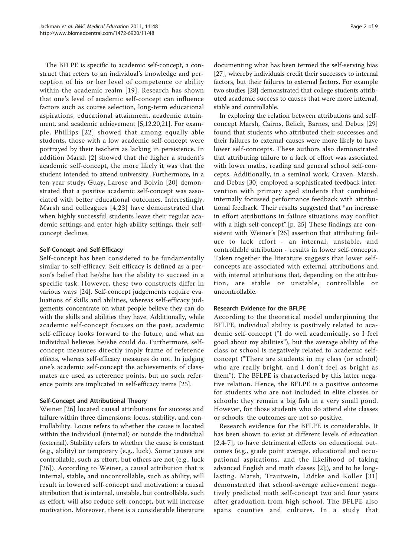The BFLPE is specific to academic self-concept, a construct that refers to an individual's knowledge and perception of his or her level of competence or ability within the academic realm [[19](#page-7-0)]. Research has shown that one's level of academic self-concept can influence factors such as course selection, long-term educational aspirations, educational attainment, academic attainment, and academic achievement [\[5,12,20,21\]](#page-7-0). For example, Phillips [[22\]](#page-7-0) showed that among equally able students, those with a low academic self-concept were portrayed by their teachers as lacking in persistence. In addition Marsh [\[2\]](#page-7-0) showed that the higher a student's academic self-concept, the more likely it was that the student intended to attend university. Furthermore, in a ten-year study, Guay, Larose and Boivin [[20](#page-7-0)] demonstrated that a positive academic self-concept was associated with better educational outcomes. Interestingly, Marsh and colleagues [\[4,23\]](#page-7-0) have demonstrated that when highly successful students leave their regular academic settings and enter high ability settings, their selfconcept declines.

## Self-Concept and Self-Efficacy

Self-concept has been considered to be fundamentally similar to self-efficacy. Self efficacy is defined as a person's belief that he/she has the ability to succeed in a specific task. However, these two constructs differ in various ways [[24\]](#page-8-0). Self-concept judgements require evaluations of skills and abilities, whereas self-efficacy judgements concentrate on what people believe they can do with the skills and abilities they have. Additionally, while academic self-concept focuses on the past, academic self-efficacy looks forward to the future, and what an individual believes he/she could do. Furthermore, selfconcept measures directly imply frame of reference effects, whereas self-efficacy measures do not. In judging one's academic self-concept the achievements of classmates are used as reference points, but no such reference points are implicated in self-efficacy items [\[25\]](#page-8-0).

#### Self-Concept and Attributional Theory

Weiner [\[26\]](#page-8-0) located causal attributions for success and failure within three dimensions: locus, stability, and controllability. Locus refers to whether the cause is located within the individual (internal) or outside the individual (external). Stability refers to whether the cause is constant (e.g., ability) or temporary (e.g., luck). Some causes are controllable, such as effort, but others are not (e.g., luck [[26](#page-8-0)]). According to Weiner, a causal attribution that is internal, stable, and uncontrollable, such as ability, will result in lowered self-concept and motivation; a causal attribution that is internal, unstable, but controllable, such as effort, will also reduce self-concept, but will increase motivation. Moreover, there is a considerable literature

documenting what has been termed the self-serving bias [[27\]](#page-8-0), whereby individuals credit their successes to internal factors, but their failures to external factors. For example two studies [[28](#page-8-0)] demonstrated that college students attributed academic success to causes that were more internal, stable and controllable.

In exploring the relation between attributions and selfconcept Marsh, Cairns, Relich, Barnes, and Debus [\[29](#page-8-0)] found that students who attributed their successes and their failures to external causes were more likely to have lower self-concepts. These authors also demonstrated that attributing failure to a lack of effort was associated with lower maths, reading and general school self-concepts. Additionally, in a seminal work, Craven, Marsh, and Debus [[30\]](#page-8-0) employed a sophisticated feedback intervention with primary aged students that combined internally focussed performance feedback with attributional feedback. Their results suggested that "an increase in effort attributions in failure situations may conflict with a high self-concept".[p. 25] These findings are consistent with Weiner's [\[26](#page-8-0)] assertion that attributing failure to lack effort - an internal, unstable, and controllable attribution - results in lower self-concepts. Taken together the literature suggests that lower selfconcepts are associated with external attributions and with internal attributions that, depending on the attribution, are stable or unstable, controllable uncontrollable.

#### Research Evidence for the BFLPE

According to the theoretical model underpinning the BFLPE, individual ability is positively related to academic self-concept ("I do well academically, so I feel good about my abilities"), but the average ability of the class or school is negatively related to academic selfconcept ("There are students in my class (or school) who are really bright, and I don't feel as bright as them"). The BFLPE is characterised by this latter negative relation. Hence, the BFLPE is a positive outcome for students who are not included in elite classes or schools; they remain a big fish in a very small pond. However, for those students who do attend elite classes or schools, the outcomes are not so positive.

Research evidence for the BFLPE is considerable. It has been shown to exist at different levels of education [[2,4](#page-7-0)-[7](#page-7-0)], to have detrimental effects on educational outcomes (e.g., grade point average, educational and occupational aspirations, and the likelihood of taking advanced English and math classes [[2](#page-7-0)];), and to be longlasting. Marsh, Trautwein, Lüdtke and Koller [[31](#page-8-0)] demonstrated that school-average achievement negatively predicted math self-concept two and four years after graduation from high school. The BFLPE also spans counties and cultures. In a study that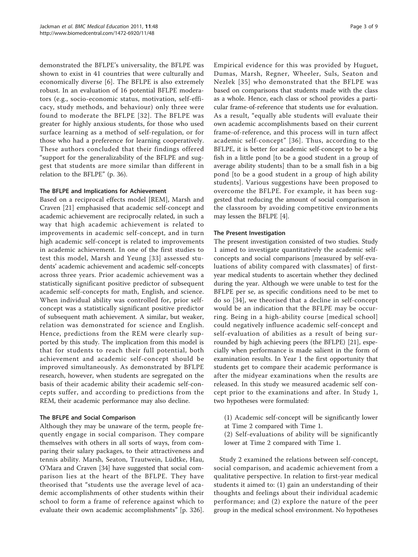demonstrated the BFLPE's universality, the BFLPE was shown to exist in 41 countries that were culturally and economically diverse [\[6\]](#page-7-0). The BFLPE is also extremely robust. In an evaluation of 16 potential BFLPE moderators (e.g., socio-economic status, motivation, self-efficacy, study methods, and behaviour) only three were found to moderate the BFLPE [[32](#page-8-0)]. The BFLPE was greater for highly anxious students, for those who used surface learning as a method of self-regulation, or for those who had a preference for learning cooperatively. These authors concluded that their findings offered "support for the generalizability of the BFLPE and suggest that students are more similar than different in relation to the BFLPE" (p. 36).

#### The BFLPE and Implications for Achievement

Based on a reciprocal effects model [REM], Marsh and Craven [[21\]](#page-7-0) emphasised that academic self-concept and academic achievement are reciprocally related, in such a way that high academic achievement is related to improvements in academic self-concept, and in turn high academic self-concept is related to improvements in academic achievement. In one of the first studies to test this model, Marsh and Yeung [[33](#page-8-0)] assessed students' academic achievement and academic self-concepts across three years. Prior academic achievement was a statistically significant positive predictor of subsequent academic self-concepts for math, English, and science. When individual ability was controlled for, prior selfconcept was a statistically significant positive predictor of subsequent math achievement. A similar, but weaker, relation was demonstrated for science and English. Hence, predictions from the REM were clearly supported by this study. The implication from this model is that for students to reach their full potential, both achievement and academic self-concept should be improved simultaneously. As demonstrated by BFLPE research, however, when students are segregated on the basis of their academic ability their academic self-concepts suffer, and according to predictions from the REM, their academic performance may also decline.

## The BFLPE and Social Comparison

Although they may be unaware of the term, people frequently engage in social comparison. They compare themselves with others in all sorts of ways, from comparing their salary packages, to their attractiveness and tennis ability. Marsh, Seaton, Trautwein, Lüdtke, Hau, O'Mara and Craven [\[34\]](#page-8-0) have suggested that social comparison lies at the heart of the BFLPE. They have theorised that "students use the average level of academic accomplishments of other students within their school to form a frame of reference against which to evaluate their own academic accomplishments" [p. 326]. Empirical evidence for this was provided by Huguet, Dumas, Marsh, Regner, Wheeler, Suls, Seaton and Nezlek [[35\]](#page-8-0) who demonstrated that the BFLPE was based on comparisons that students made with the class as a whole. Hence, each class or school provides a particular frame-of-reference that students use for evaluation. As a result, "equally able students will evaluate their own academic accomplishments based on their current frame-of-reference, and this process will in turn affect academic self-concept" [[36\]](#page-8-0). Thus, according to the BFLPE, it is better for academic self-concept to be a big fish in a little pond [to be a good student in a group of average ability students] than to be a small fish in a big pond [to be a good student in a group of high ability students]. Various suggestions have been proposed to overcome the BFLPE. For example, it has been suggested that reducing the amount of social comparison in the classroom by avoiding competitive environments may lessen the BFLPE [\[4](#page-7-0)].

#### The Present Investigation

The present investigation consisted of two studies. Study 1 aimed to investigate quantitatively the academic selfconcepts and social comparisons [measured by self-evaluations of ability compared with classmates] of firstyear medical students to ascertain whether they declined during the year. Although we were unable to test for the BFLPE per se, as specific conditions need to be met to do so [[34](#page-8-0)], we theorised that a decline in self-concept would be an indication that the BFLPE may be occurring. Being in a high-ability course [medical school] could negatively influence academic self-concept and self-evaluation of abilities as a result of being surrounded by high achieving peers (the BFLPE) [[21\]](#page-7-0), especially when performance is made salient in the form of examination results. In Year 1 the first opportunity that students get to compare their academic performance is after the midyear examinations when the results are released. In this study we measured academic self concept prior to the examinations and after. In Study 1, two hypotheses were formulated:

- (1) Academic self-concept will be significantly lower
- at Time 2 compared with Time 1.
- (2) Self-evaluations of ability will be significantly lower at Time 2 compared with Time 1.

Study 2 examined the relations between self-concept, social comparison, and academic achievement from a qualitative perspective. In relation to first-year medical students it aimed to: (1) gain an understanding of their thoughts and feelings about their individual academic performance; and (2) explore the nature of the peer group in the medical school environment. No hypotheses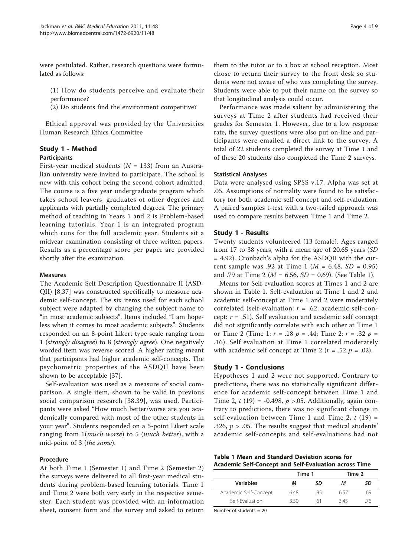were postulated. Rather, research questions were formulated as follows:

(1) How do students perceive and evaluate their performance?

(2) Do students find the environment competitive?

Ethical approval was provided by the Universities Human Research Ethics Committee

## Study 1 - Method Participants

First-year medical students ( $N = 133$ ) from an Australian university were invited to participate. The school is new with this cohort being the second cohort admitted. The course is a five year undergraduate program which takes school leavers, graduates of other degrees and applicants with partially completed degrees. The primary method of teaching in Years 1 and 2 is Problem-based learning tutorials. Year 1 is an integrated program which runs for the full academic year. Students sit a midyear examination consisting of three written papers. Results as a percentage score per paper are provided shortly after the examination.

#### Measures

The Academic Self Description Questionnaire II (ASD-QII) [[8](#page-7-0)[,37](#page-8-0)] was constructed specifically to measure academic self-concept. The six items used for each school subject were adapted by changing the subject name to "in most academic subjects". Items included "I am hopeless when it comes to most academic subjects". Students responded on an 8-point Likert type scale ranging from 1 (strongly disagree) to 8 (strongly agree). One negatively worded item was reverse scored. A higher rating meant that participants had higher academic self-concepts. The psychometric properties of the ASDQII have been shown to be acceptable [\[37\]](#page-8-0).

Self-evaluation was used as a measure of social comparison. A single item, shown to be valid in previous social comparison research [[38,39\]](#page-8-0), was used. Participants were asked "How much better/worse are you academically compared with most of the other students in your year". Students responded on a 5-point Likert scale ranging from  $1(much worse)$  to 5 (much better), with a mid-point of 3 (the same).

## Procedure

At both Time 1 (Semester 1) and Time 2 (Semester 2) the surveys were delivered to all first-year medical students during problem-based learning tutorials. Time 1 and Time 2 were both very early in the respective semester. Each student was provided with an information sheet, consent form and the survey and asked to return

them to the tutor or to a box at school reception. Most chose to return their survey to the front desk so students were not aware of who was completing the survey. Students were able to put their name on the survey so that longitudinal analysis could occur.

Performance was made salient by administering the surveys at Time 2 after students had received their grades for Semester 1. However, due to a low response rate, the survey questions were also put on-line and participants were emailed a direct link to the survey. A total of 22 students completed the survey at Time 1 and of these 20 students also completed the Time 2 surveys.

#### Statistical Analyses

Data were analysed using SPSS v.17. Alpha was set at .05. Assumptions of normality were found to be satisfactory for both academic self-concept and self-evaluation. A paired samples t-test with a two-tailed approach was used to compare results between Time 1 and Time 2.

## Study 1 - Results

Twenty students volunteered (13 female). Ages ranged from 17 to 38 years, with a mean age of 20.65 years (SD = 4.92). Cronbach's alpha for the ASDQII with the current sample was .92 at Time 1 ( $M = 6.48$ ,  $SD = 0.95$ ) and .79 at Time 2 ( $M = 6.56$ ,  $SD = 0.69$ ). (See Table 1).

Means for Self-evaluation scores at Times 1 and 2 are shown in Table 1. Self-evaluation at Time 1 and 2 and academic self-concept at Time 1 and 2 were moderately correlated (self-evaluation:  $r = .62$ ; academic self-concept:  $r = .51$ ). Self evaluation and academic self concept did not significantly correlate with each other at Time 1 or Time 2 (Time 1:  $r = .18$   $p = .44$ ; Time 2:  $r = .32$   $p =$ .16). Self evaluation at Time 1 correlated moderately with academic self concept at Time 2 ( $r = .52$   $p = .02$ ).

## Study 1 - Conclusions

Hypotheses 1 and 2 were not supported. Contrary to predictions, there was no statistically significant difference for academic self-concept between Time 1 and Time 2,  $t(19) = -0.498$ ,  $p > 0.05$ . Additionally, again contrary to predictions, there was no significant change in self-evaluation between Time 1 and Time 2,  $t(19) =$ .326,  $p > 0.05$ . The results suggest that medical students' academic self-concepts and self-evaluations had not

#### Table 1 Mean and Standard Deviation scores for Academic Self-Concept and Self-Evaluation across Time

| Time 1 |     | Time 2 |     |
|--------|-----|--------|-----|
| м      | SD  | м      | SD  |
| 6.48   | -95 | 657    | .69 |
| 350    | 61  | 345    | .76 |
|        |     |        |     |

Number of students = 20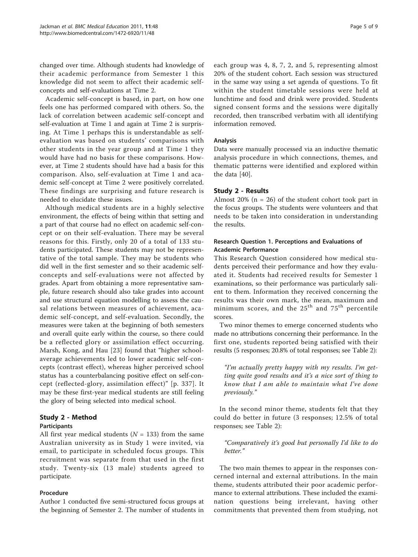changed over time. Although students had knowledge of their academic performance from Semester 1 this knowledge did not seem to affect their academic selfconcepts and self-evaluations at Time 2.

Academic self-concept is based, in part, on how one feels one has performed compared with others. So, the lack of correlation between academic self-concept and self-evaluation at Time 1 and again at Time 2 is surprising. At Time 1 perhaps this is understandable as selfevaluation was based on students' comparisons with other students in the year group and at Time 1 they would have had no basis for these comparisons. However, at Time 2 students should have had a basis for this comparison. Also, self-evaluation at Time 1 and academic self-concept at Time 2 were positively correlated. These findings are surprising and future research is needed to elucidate these issues.

Although medical students are in a highly selective environment, the effects of being within that setting and a part of that course had no effect on academic self-concept or on their self-evaluation. There may be several reasons for this. Firstly, only 20 of a total of 133 students participated. These students may not be representative of the total sample. They may be students who did well in the first semester and so their academic selfconcepts and self-evaluations were not affected by grades. Apart from obtaining a more representative sample, future research should also take grades into account and use structural equation modelling to assess the causal relations between measures of achievement, academic self-concept, and self-evaluation. Secondly, the measures were taken at the beginning of both semesters and overall quite early within the course, so there could be a reflected glory or assimilation effect occurring. Marsh, Kong, and Hau [[23\]](#page-7-0) found that "higher schoolaverage achievements led to lower academic self-concepts (contrast effect), whereas higher perceived school status has a counterbalancing positive effect on self-concept (reflected-glory, assimilation effect)" [p. 337]. It may be these first-year medical students are still feeling the glory of being selected into medical school.

## Study 2 - Method

## **Participants**

All first year medical students ( $N = 133$ ) from the same Australian university as in Study 1 were invited, via email, to participate in scheduled focus groups. This recruitment was separate from that used in the first study. Twenty-six (13 male) students agreed to participate.

## Procedure

Author 1 conducted five semi-structured focus groups at the beginning of Semester 2. The number of students in each group was 4, 8, 7, 2, and 5, representing almost 20% of the student cohort. Each session was structured in the same way using a set agenda of questions. To fit within the student timetable sessions were held at lunchtime and food and drink were provided. Students signed consent forms and the sessions were digitally recorded, then transcribed verbatim with all identifying information removed.

#### Analysis

Data were manually processed via an inductive thematic analysis procedure in which connections, themes, and thematic patterns were identified and explored within the data [\[40](#page-8-0)].

## Study 2 - Results

Almost 20% ( $n = 26$ ) of the student cohort took part in the focus groups. The students were volunteers and that needs to be taken into consideration in understanding the results.

#### Research Question 1. Perceptions and Evaluations of Academic Performance

This Research Question considered how medical students perceived their performance and how they evaluated it. Students had received results for Semester 1 examinations, so their performance was particularly salient to them. Information they received concerning the results was their own mark, the mean, maximum and minimum scores, and the  $25<sup>th</sup>$  and  $75<sup>th</sup>$  percentile scores.

Two minor themes to emerge concerned students who made no attributions concerning their performance. In the first one, students reported being satisfied with their results (5 responses; 20.8% of total responses; see Table [2](#page-5-0)):

"I'm actually pretty happy with my results. I'm getting quite good results and it's a nice sort of thing to know that I am able to maintain what I've done previously."

In the second minor theme, students felt that they could do better in future (3 responses; 12.5% of total responses; see Table [2](#page-5-0)):

## "Comparatively it's good but personally I'd like to do better."

The two main themes to appear in the responses concerned internal and external attributions. In the main theme, students attributed their poor academic performance to external attributions. These included the examination questions being irrelevant, having other commitments that prevented them from studying, not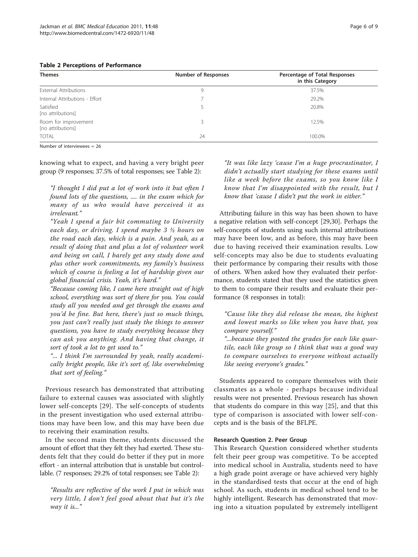| <b>Themes</b>                             | <b>Number of Responses</b> | Percentage of Total Responses<br>in this Category |
|-------------------------------------------|----------------------------|---------------------------------------------------|
| External Attributions                     | 9                          | 37.5%                                             |
| Internal Attributions - Effort            |                            | 29.2%                                             |
| Satisfied<br>[no attributions]            | 5.                         | 20.8%                                             |
| Room for improvement<br>[no attributions] | 3                          | 12.5%                                             |
| <b>TOTAL</b>                              | 24                         | 100.0%                                            |

#### <span id="page-5-0"></span>Table 2 Perceptions of Performance

Number of interviewees = 26

knowing what to expect, and having a very bright peer group (9 responses; 37.5% of total responses; see Table 2):

"I thought I did put a lot of work into it but often I found lots of the questions, .... in the exam which for many of us who would have perceived it as irrelevant."

"Yeah I spend a fair bit commuting to University each day, or driving. I spend maybe 3 ½ hours on the road each day, which is a pain. And yeah, as a result of doing that and plus a lot of volunteer work and being on call, I barely get any study done and plus other work commitments, my family's business which of course is feeling a lot of hardship given our global financial crisis. Yeah, it's hard."

"Because coming like, I came here straight out of high school, everything was sort of there for you. You could study all you needed and get through the exams and you'd be fine. But here, there's just so much things, you just can't really just study the things to answer questions, you have to study everything because they can ask you anything. And having that change, it sort of took a lot to get used to."

"... I think I'm surrounded by yeah, really academically bright people, like it's sort of, like overwhelming that sort of feeling."

Previous research has demonstrated that attributing failure to external causes was associated with slightly lower self-concepts [\[29\]](#page-8-0). The self-concepts of students in the present investigation who used external attributions may have been low, and this may have been due to receiving their examination results.

In the second main theme, students discussed the amount of effort that they felt they had exerted. These students felt that they could do better if they put in more effort - an internal attribution that is unstable but controllable. (7 responses; 29.2% of total responses; see Table 2):

"Results are reflective of the work I put in which was very little, I don't feel good about that but it's the way it is..."

"It was like lazy 'cause I'm a huge procrastinator, I didn't actually start studying for these exams until like a week before the exams, so you know like I know that I'm disappointed with the result, but I know that 'cause I didn't put the work in either."

Attributing failure in this way has been shown to have a negative relation with self-concept [\[29,30\]](#page-8-0). Perhaps the self-concepts of students using such internal attributions may have been low, and as before, this may have been due to having received their examination results. Low self-concepts may also be due to students evaluating their performance by comparing their results with those of others. When asked how they evaluated their performance, students stated that they used the statistics given to them to compare their results and evaluate their performance (8 responses in total):

"Cause like they did release the mean, the highest and lowest marks so like when you have that, you compare yourself."

"...because they posted the grades for each like quartile, each like group so I think that was a good way to compare ourselves to everyone without actually like seeing everyone's grades."

Students appeared to compare themselves with their classmates as a whole - perhaps because individual results were not presented. Previous research has shown that students do compare in this way [[25\]](#page-8-0), and that this type of comparison is associated with lower self-concepts and is the basis of the BFLPE.

#### Research Question 2. Peer Group

This Research Question considered whether students felt their peer group was competitive. To be accepted into medical school in Australia, students need to have a high grade point average or have achieved very highly in the standardised tests that occur at the end of high school. As such, students in medical school tend to be highly intelligent. Research has demonstrated that moving into a situation populated by extremely intelligent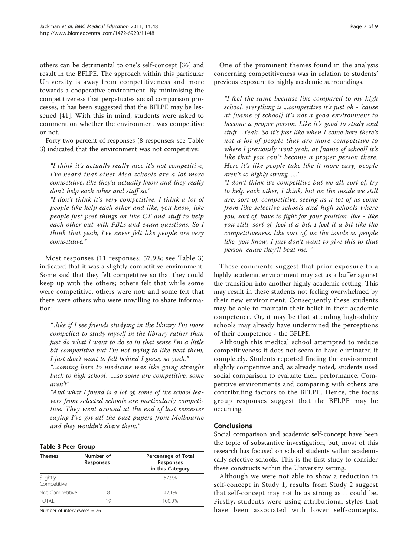others can be detrimental to one's self-concept [\[36\]](#page-8-0) and result in the BFLPE. The approach within this particular University is away from competitiveness and more towards a cooperative environment. By minimising the competitiveness that perpetuates social comparison processes, it has been suggested that the BFLPE may be lessened [[41](#page-8-0)]. With this in mind, students were asked to comment on whether the environment was competitive or not.

Forty-two percent of responses (8 responses; see Table 3) indicated that the environment was not competitive:

"I think it's actually really nice it's not competitive, I've heard that other Med schools are a lot more competitive, like they'd actually know and they really don't help each other and stuff so."

"I don't think it's very competitive, I think a lot of people like help each other and like, you know, like people just post things on like CT and stuff to help each other out with PBLs and exam questions. So I think that yeah, I've never felt like people are very competitive."

Most responses (11 responses; 57.9%; see Table 3) indicated that it was a slightly competitive environment. Some said that they felt competitive so that they could keep up with the others; others felt that while some were competitive, others were not; and some felt that there were others who were unwilling to share information:

"..like if I see friends studying in the library I'm more compelled to study myself in the library rather than just do what I want to do so in that sense I'm a little bit competitive but I'm not trying to like beat them, I just don't want to fall behind I guess, so yeah."

"..coming here to medicine was like going straight back to high school, .....so some are competitive, some aren't"

"And what I found is a lot of, some of the school leavers from selected schools are particularly competitive. They went around at the end of last semester saying I've got all the past papers from Melbourne and they wouldn't share them."

#### Table 3 Peer Group

| <b>Themes</b>           | Number of<br>Responses | <b>Percentage of Total</b><br>Responses<br>in this Category |
|-------------------------|------------------------|-------------------------------------------------------------|
| Slightly<br>Competitive | 11                     | 579%                                                        |
| Not Competitive         | 8                      | 42.1%                                                       |
| <b>TOTAL</b>            | 19                     | 100.0%                                                      |

Number of interviewees = 26

One of the prominent themes found in the analysis concerning competitiveness was in relation to students' previous exposure to highly academic surroundings.

"I feel the same because like compared to my high school, everything is ...competitive it's just oh - 'cause at [name of school] it's not a good environment to become a proper person. Like it's good to study and stuff ...Yeah. So it's just like when I come here there's not a lot of people that are more competitive to where I previously went yeah, at [name of school] it's like that you can't become a proper person there. Here it's like people take like it more easy, people aren't so highly strung, ...."

"I don't think it's competitive but we all, sort of, try to help each other, I think, but on the inside we still are, sort of, competitive, seeing as a lot of us come from like selective schools and high schools where you, sort of, have to fight for your position, like - like you still, sort of, feel it a bit, I feel it a bit like the competitiveness, like sort of, on the inside so people like, you know, I just don't want to give this to that person 'cause they'll beat me. "

These comments suggest that prior exposure to a highly academic environment may act as a buffer against the transition into another highly academic setting. This may result in these students not feeling overwhelmed by their new environment. Consequently these students may be able to maintain their belief in their academic competence. Or, it may be that attending high-ability schools may already have undermined the perceptions of their competence - the BFLPE.

Although this medical school attempted to reduce competitiveness it does not seem to have eliminated it completely. Students reported finding the environment slightly competitive and, as already noted, students used social comparison to evaluate their performance. Competitive environments and comparing with others are contributing factors to the BFLPE. Hence, the focus group responses suggest that the BFLPE may be occurring.

#### Conclusions

Social comparison and academic self-concept have been the topic of substantive investigation, but, most of this research has focused on school students within academically selective schools. This is the first study to consider these constructs within the University setting.

Although we were not able to show a reduction in self-concept in Study 1, results from Study 2 suggest that self-concept may not be as strong as it could be. Firstly, students were using attributional styles that have been associated with lower self-concepts.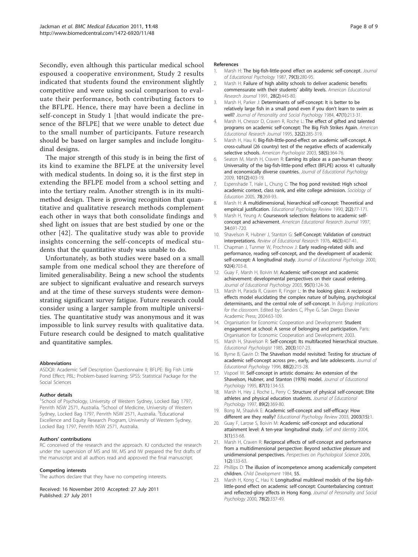<span id="page-7-0"></span>Secondly, even although this particular medical school espoused a cooperative environment, Study 2 results indicated that students found the environment slightly competitive and were using social comparison to evaluate their performance, both contributing factors to the BFLPE. Hence, there may have been a decline in self-concept in Study 1 [that would indicate the presence of the BFLPE] that we were unable to detect due to the small number of participants. Future research should be based on larger samples and include longitudinal designs.

The major strength of this study is in being the first of its kind to examine the BFLPE at the university level with medical students. In doing so, it is the first step in extending the BFLPE model from a school setting and into the tertiary realm. Another strength is in its multimethod design. There is growing recognition that quantitative and qualitative research methods complement each other in ways that both consolidate findings and shed light on issues that are best studied by one or the other [[42\]](#page-8-0). The qualitative study was able to provide insights concerning the self-concepts of medical students that the quantitative study was unable to do.

Unfortunately, as both studies were based on a small sample from one medical school they are therefore of limited generalisability. Being a new school the students are subject to significant evaluative and research surveys and at the time of these surveys students were demonstrating significant survey fatigue. Future research could consider using a larger sample from multiple universities. The quantitative study was anonymous and it was impossible to link survey results with qualitative data. Future research could be designed to match qualitative and quantitative samples.

#### Abbreviations

ASDQII: Academic Self Description Questionnaire II; BFLPE: Big Fish Little Pond Effect; PBL: Problem-based learning; SPSS: Statistical Package for the Social Sciences

#### Author details

<sup>1</sup>School of Psychology, University of Western Sydney, Locked Bag 1797, Penrith NSW 2571, Australia. <sup>2</sup>School of Medicine, University of Western Sydney, Locked Bag 1797, Penrith NSW 2571, Australia. <sup>3</sup>Educational Excellence and Equity Research Program, University of Western Sydney, Locked Bag 1797, Penrith NSW 2571, Australia.

#### Authors' contributions

RC conceived of the research and the approach. KJ conducted the research under the supervision of MS and IW. MS and IW prepared the first drafts of the manuscript and all authors read and approved the final manuscript.

#### Competing interests

The authors declare that they have no competing interests.

Received: 16 November 2010 Accepted: 27 July 2011 Published: 27 July 2011

#### References

- 1. Marsh H: The big-fish-little-pond effect on academic self-concept. Journal of Educational Psychology 1987, 79(3):280-95.
- 2. Marsh H: Failure of high ability schools to deliver academic benefits commensurate with their students' ability levels. American Educational Research Journal 1991, 28(2):445-80.
- 3. Marsh H, Parker J: Determinants of self-concept: It is better to be relatively large fish in a small pond even if you don't learn to swim as well? Journal of Personality and Social Psychology 1984, 47(1):213-31.
- 4. Marsh H, Chessor D, Craven R, Roche L: The effect of gifted and talented programs on academic self-concept: The Big Fish Strikes Again. American Educational Research Journal 1995, 32(2):285-319.
- 5. Marsh H, Hau K: [Big-fish-little-pond-effect on academic self-concept. A](http://www.ncbi.nlm.nih.gov/pubmed/12971085?dopt=Abstract) [cross-cultural \(26 country\) test of the negative effects of academically](http://www.ncbi.nlm.nih.gov/pubmed/12971085?dopt=Abstract) [selective schools.](http://www.ncbi.nlm.nih.gov/pubmed/12971085?dopt=Abstract) American Psychologist 2003, 58(5):364-76.
- 6. Seaton M, Marsh H, Craven R: Earning its place as a pan-human theory: Universality of the big-fish-little-pond effect (BFLPE) across 41 culturally and economically diverse countries. Journal of Educational Psychology 2009, 101(2):403-19.
- 7. Espenshade T, Hale L, Chung C: The frog pond revisited: High school academic context, class rank, and elite college admission. Sociology of Education 2005, 78:269-93.
- 8. Marsh H: A multidimensional, hierarchical self-concept: Theoretical and empirical justification. Educational Psychology Review 1990, 2(2):77-171.
- 9. Marsh H, Yeung A: Coursework selection: Relations to academic selfconcept and achievement. American Educational Research Journal 1997, 34:691-720.
- 10. Shavelson R, Hubner J, Stanton G: Self-Concept: Validation of construct interpretations. Review of Educational Research 1976, 46(3):407-41.
- 11. Chapman J, Tunmer W, Prochnow J: Early reading-related skills and performance, reading self-concept, and the development of academic self-concept: A longitudinal study. Journal of Educational Psychology 2000, 92(4):703-8.
- 12. Guay F, Marsh H, Boivin M: Academic self-concept and academic achievement: developmental perspectives on their causal ordering. Journal of Educational Psychology 2003, 95(1):124-36.
- 13. Marsh H, Parada R, Craven R, Finger L: In the looking glass: A reciprocal effects model elucidating the complex nature of bullying, psychological determinants, and the central role of self-concept. In Bullying: Implications for the classroom. Edited by: Sanders C, Phye G. San Diego: Elsevier Academic Press; 2004:63-109.
- 14. Organisation for Economic Cooperation and Development: Student engagement at school: A sense of belonging and participation. Paris: Organisation for Economic Cooperation and Development; 2003.
- 15. Marsh H, Shavelson R: Self-concept: Its multifaceted hierarchical structure. Educational Psychologist 1985, 20(3):107-23.
- 16. Byrne B, Gavin D: The Shavelson model revisited: Testing for structure of academic self-concept across pre-, early, and late adolescents. Journal of Educational Psychology 1996, 88(2):215-28.
- 17. Vispoel W: Self-concept in artistic domains: An extension of the Shavelson, Hubner, and Stanton (1976) model. Journal of Educational Psychology 1995, 87(1):134-53.
- 18. Marsh H, Hey J, Roche L, Perry C: Structure of physical self-concept: Elite athletes and physical education students. Journal of Educational Psychology 1997, 89(2):369-80.
- 19. Bong M, Shaalvik E: Academic self-concept and self-efficacy: How different are they really? Educational Psychology Review 2003, 2003(15):1.
- 20. Guay F, Larose S, Boivin M: Academic self-concept and educational attainment level: A ten-year longitudinal study. Self and Identity 2004, 3(1):53-68.
- 21. Marsh H, Craven R: Reciprocal effects of self-concept and performance from a multidimensional perspective: Beyond seductive pleasure and unidimensional perspectives. Perspectives on Psychological Science 2006, 1(2):133-63.
- 22. Phillips D: The illusion of incompetence among academically competent children. Child Development 1984, 55.
- 23. Marsh H, Kong C, Hau K: [Longitudinal multilevel models of the big-fish](http://www.ncbi.nlm.nih.gov/pubmed/10707339?dopt=Abstract)[little-pond effect on academic self-concept: Counterbalancing contrast](http://www.ncbi.nlm.nih.gov/pubmed/10707339?dopt=Abstract) [and reflected-glory effects in Hong Kong.](http://www.ncbi.nlm.nih.gov/pubmed/10707339?dopt=Abstract) Journal of Personality and Social Psychology 2000, 78(2):337-49.